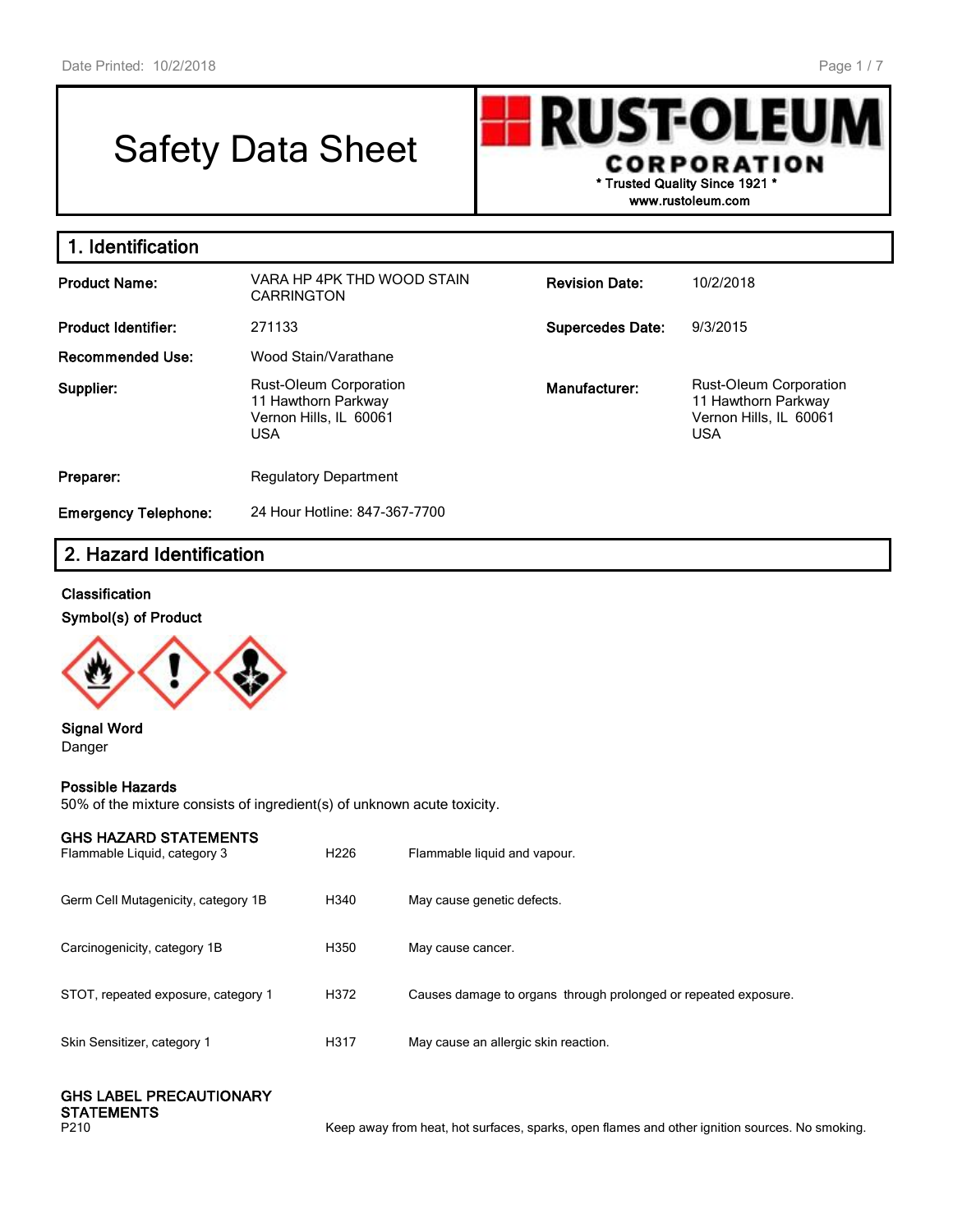# Safety Data Sheet

**RUST-OLEU** I **CORPORATION \* Trusted Quality Since 1921 \***

**www.rustoleum.com**

| 1. Identification           |                                                                                       |                         |                                                                                              |
|-----------------------------|---------------------------------------------------------------------------------------|-------------------------|----------------------------------------------------------------------------------------------|
| <b>Product Name:</b>        | VARA HP 4PK THD WOOD STAIN<br><b>CARRINGTON</b>                                       | <b>Revision Date:</b>   | 10/2/2018                                                                                    |
| <b>Product Identifier:</b>  | 271133                                                                                | <b>Supercedes Date:</b> | 9/3/2015                                                                                     |
| <b>Recommended Use:</b>     | Wood Stain/Varathane                                                                  |                         |                                                                                              |
| Supplier:                   | Rust-Oleum Corporation<br>11 Hawthorn Parkway<br>Vernon Hills, IL 60061<br><b>USA</b> | Manufacturer:           | <b>Rust-Oleum Corporation</b><br>11 Hawthorn Parkway<br>Vernon Hills, IL 60061<br><b>USA</b> |
| Preparer:                   | <b>Regulatory Department</b>                                                          |                         |                                                                                              |
| <b>Emergency Telephone:</b> | 24 Hour Hotline: 847-367-7700                                                         |                         |                                                                                              |

# **2. Hazard Identification**

## **Classification**

**Symbol(s) of Product**



#### **Signal Word** Danger

## **Possible Hazards**

50% of the mixture consists of ingredient(s) of unknown acute toxicity.

| <b>GHS HAZARD STATEMENTS</b><br>Flammable Liquid, category 3 | H <sub>226</sub> | Flammable liquid and vapour.                                    |
|--------------------------------------------------------------|------------------|-----------------------------------------------------------------|
| Germ Cell Mutagenicity, category 1B                          | H340             | May cause genetic defects.                                      |
| Carcinogenicity, category 1B                                 | H350             | May cause cancer.                                               |
| STOT, repeated exposure, category 1                          | H372             | Causes damage to organs through prolonged or repeated exposure. |
| Skin Sensitizer, category 1                                  | H317             | May cause an allergic skin reaction.                            |
|                                                              |                  |                                                                 |

| <b>GHS LABEL PRECAUTIONARY</b> |
|--------------------------------|
| <b>STATEMENTS</b>              |
|                                |

P210 **Keep away from heat, hot surfaces, sparks, open flames and other ignition sources. No smoking.**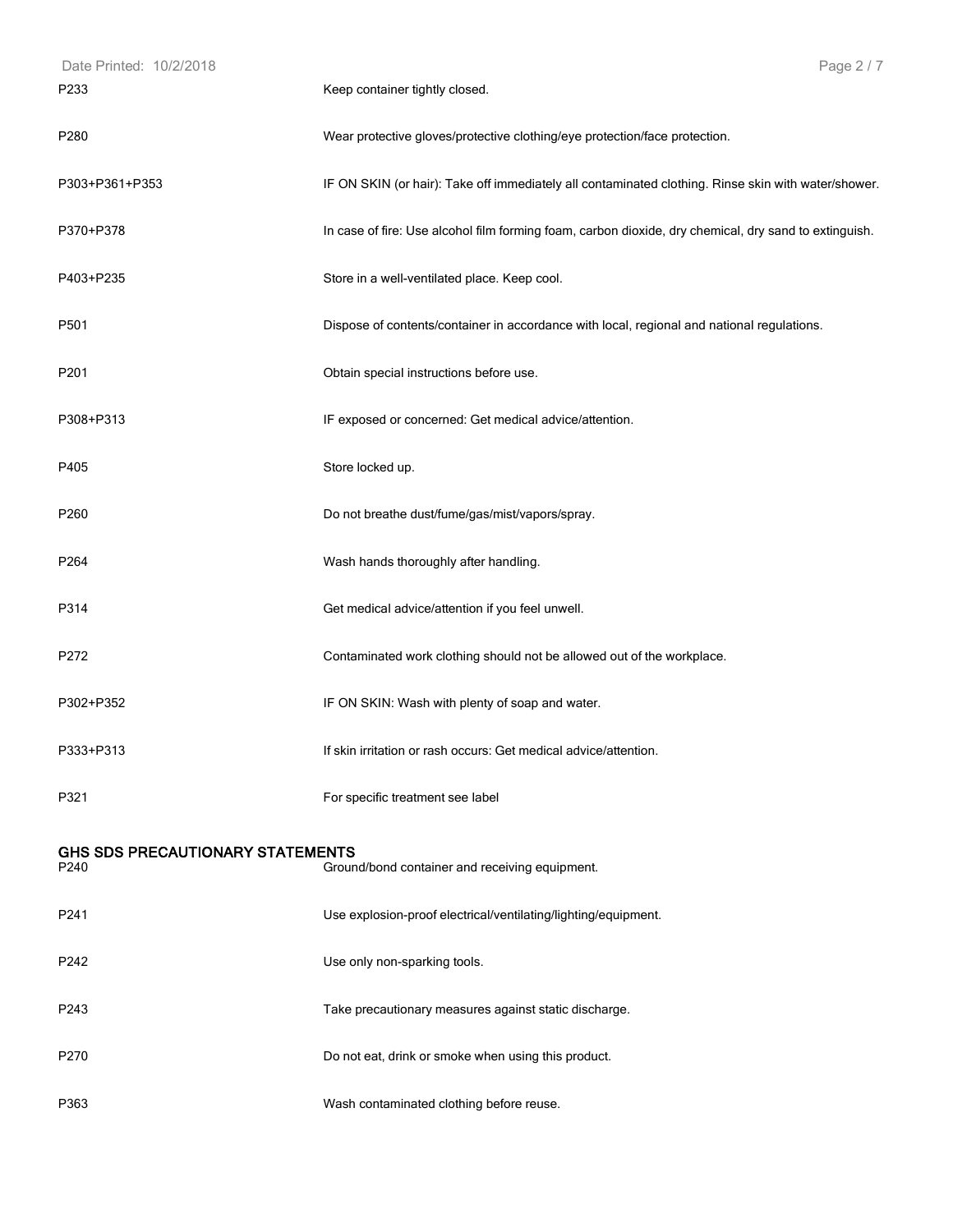| Date Printed: 10/2/2018                         | Page 2 / 7                                                                                            |
|-------------------------------------------------|-------------------------------------------------------------------------------------------------------|
| P233                                            | Keep container tightly closed.                                                                        |
| P280                                            | Wear protective gloves/protective clothing/eye protection/face protection.                            |
| P303+P361+P353                                  | IF ON SKIN (or hair): Take off immediately all contaminated clothing. Rinse skin with water/shower.   |
| P370+P378                                       | In case of fire: Use alcohol film forming foam, carbon dioxide, dry chemical, dry sand to extinguish. |
| P403+P235                                       | Store in a well-ventilated place. Keep cool.                                                          |
| P501                                            | Dispose of contents/container in accordance with local, regional and national regulations.            |
| P201                                            | Obtain special instructions before use.                                                               |
| P308+P313                                       | IF exposed or concerned: Get medical advice/attention.                                                |
| P405                                            | Store locked up.                                                                                      |
| P260                                            | Do not breathe dust/fume/gas/mist/vapors/spray.                                                       |
| P264                                            | Wash hands thoroughly after handling.                                                                 |
| P314                                            | Get medical advice/attention if you feel unwell.                                                      |
| P272                                            | Contaminated work clothing should not be allowed out of the workplace.                                |
| P302+P352                                       | IF ON SKIN: Wash with plenty of soap and water.                                                       |
| P333+P313                                       | If skin irritation or rash occurs: Get medical advice/attention.                                      |
| P321                                            | For specific treatment see label                                                                      |
| <b>GHS SDS PRECAUTIONARY STATEMENTS</b><br>P240 | Ground/bond container and receiving equipment.                                                        |
| P241                                            | Use explosion-proof electrical/ventilating/lighting/equipment.                                        |
| P242                                            | Use only non-sparking tools.                                                                          |
| P243                                            | Take precautionary measures against static discharge.                                                 |
| P270                                            | Do not eat, drink or smoke when using this product.                                                   |
| P363                                            | Wash contaminated clothing before reuse.                                                              |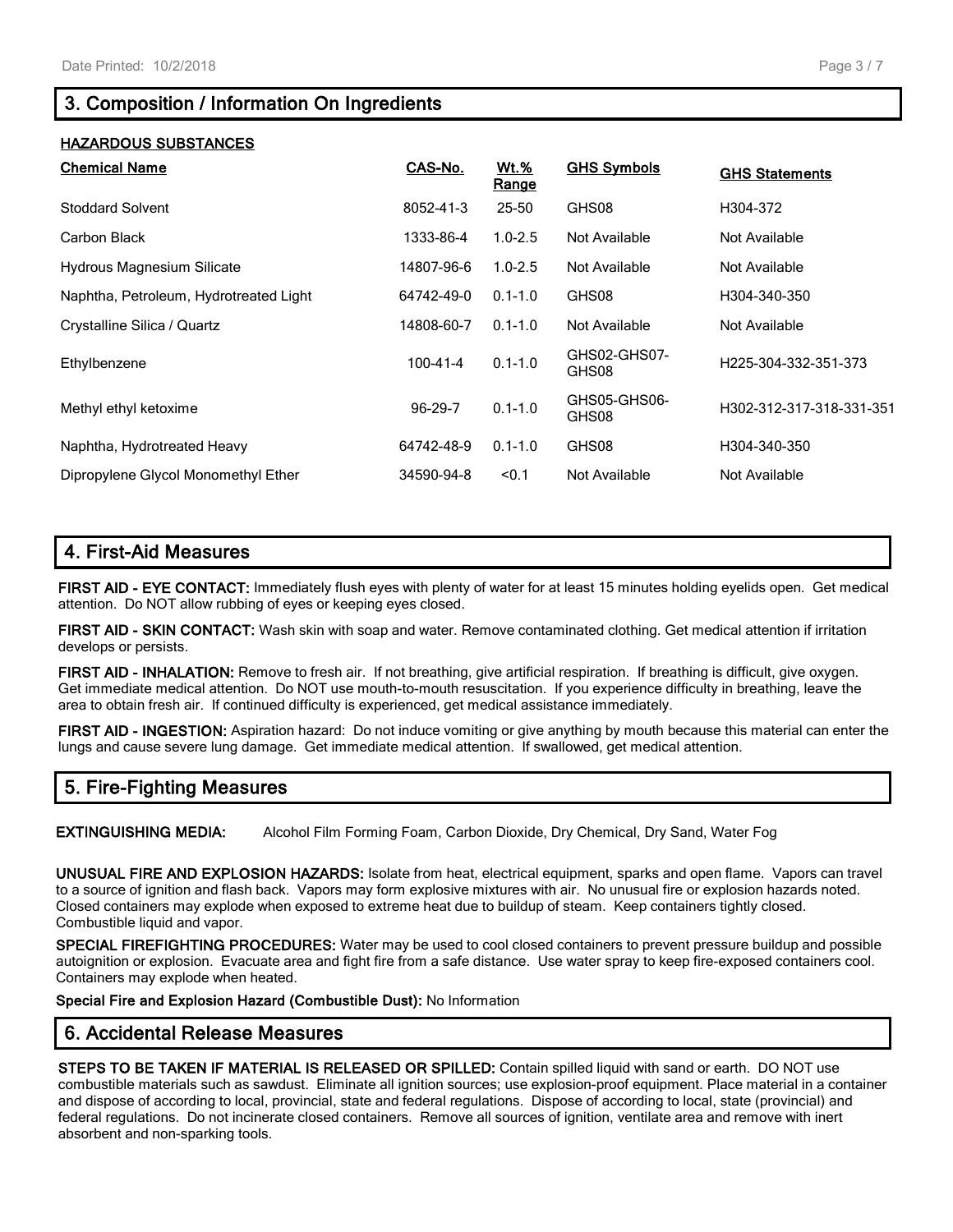# **3. Composition / Information On Ingredients**

## **HAZARDOUS SUBSTANCES**

| <b>Chemical Name</b>                   | CAS-No.        | <b>Wt.%</b><br>Range | <b>GHS Symbols</b>    | <b>GHS Statements</b>    |
|----------------------------------------|----------------|----------------------|-----------------------|--------------------------|
| Stoddard Solvent                       | 8052-41-3      | $25 - 50$            | GHS08                 | H304-372                 |
| Carbon Black                           | 1333-86-4      | $1.0 - 2.5$          | Not Available         | Not Available            |
| Hydrous Magnesium Silicate             | 14807-96-6     | $1.0 - 2.5$          | Not Available         | Not Available            |
| Naphtha, Petroleum, Hydrotreated Light | 64742-49-0     | $0.1 - 1.0$          | GHS08                 | H304-340-350             |
| Crystalline Silica / Quartz            | 14808-60-7     | $0.1 - 1.0$          | Not Available         | Not Available            |
| Ethylbenzene                           | $100 - 41 - 4$ | $0.1 - 1.0$          | GHS02-GHS07-<br>GHS08 | H225-304-332-351-373     |
| Methyl ethyl ketoxime                  | 96-29-7        | $0.1 - 1.0$          | GHS05-GHS06-<br>GHS08 | H302-312-317-318-331-351 |
| Naphtha, Hydrotreated Heavy            | 64742-48-9     | $0.1 - 1.0$          | GHS08                 | H304-340-350             |
| Dipropylene Glycol Monomethyl Ether    | 34590-94-8     | < 0.1                | Not Available         | Not Available            |

## **4. First-Aid Measures**

**FIRST AID - EYE CONTACT:** Immediately flush eyes with plenty of water for at least 15 minutes holding eyelids open. Get medical attention. Do NOT allow rubbing of eyes or keeping eyes closed.

**FIRST AID - SKIN CONTACT:** Wash skin with soap and water. Remove contaminated clothing. Get medical attention if irritation develops or persists.

**FIRST AID - INHALATION:** Remove to fresh air. If not breathing, give artificial respiration. If breathing is difficult, give oxygen. Get immediate medical attention. Do NOT use mouth-to-mouth resuscitation. If you experience difficulty in breathing, leave the area to obtain fresh air. If continued difficulty is experienced, get medical assistance immediately.

**FIRST AID - INGESTION:** Aspiration hazard: Do not induce vomiting or give anything by mouth because this material can enter the lungs and cause severe lung damage. Get immediate medical attention. If swallowed, get medical attention.

# **5. Fire-Fighting Measures**

**EXTINGUISHING MEDIA:** Alcohol Film Forming Foam, Carbon Dioxide, Dry Chemical, Dry Sand, Water Fog

**UNUSUAL FIRE AND EXPLOSION HAZARDS:** Isolate from heat, electrical equipment, sparks and open flame. Vapors can travel to a source of ignition and flash back. Vapors may form explosive mixtures with air. No unusual fire or explosion hazards noted. Closed containers may explode when exposed to extreme heat due to buildup of steam. Keep containers tightly closed. Combustible liquid and vapor.

**SPECIAL FIREFIGHTING PROCEDURES:** Water may be used to cool closed containers to prevent pressure buildup and possible autoignition or explosion. Evacuate area and fight fire from a safe distance. Use water spray to keep fire-exposed containers cool. Containers may explode when heated.

**Special Fire and Explosion Hazard (Combustible Dust):** No Information

# **6. Accidental Release Measures**

**STEPS TO BE TAKEN IF MATERIAL IS RELEASED OR SPILLED:** Contain spilled liquid with sand or earth. DO NOT use combustible materials such as sawdust. Eliminate all ignition sources; use explosion-proof equipment. Place material in a container and dispose of according to local, provincial, state and federal regulations. Dispose of according to local, state (provincial) and federal regulations. Do not incinerate closed containers. Remove all sources of ignition, ventilate area and remove with inert absorbent and non-sparking tools.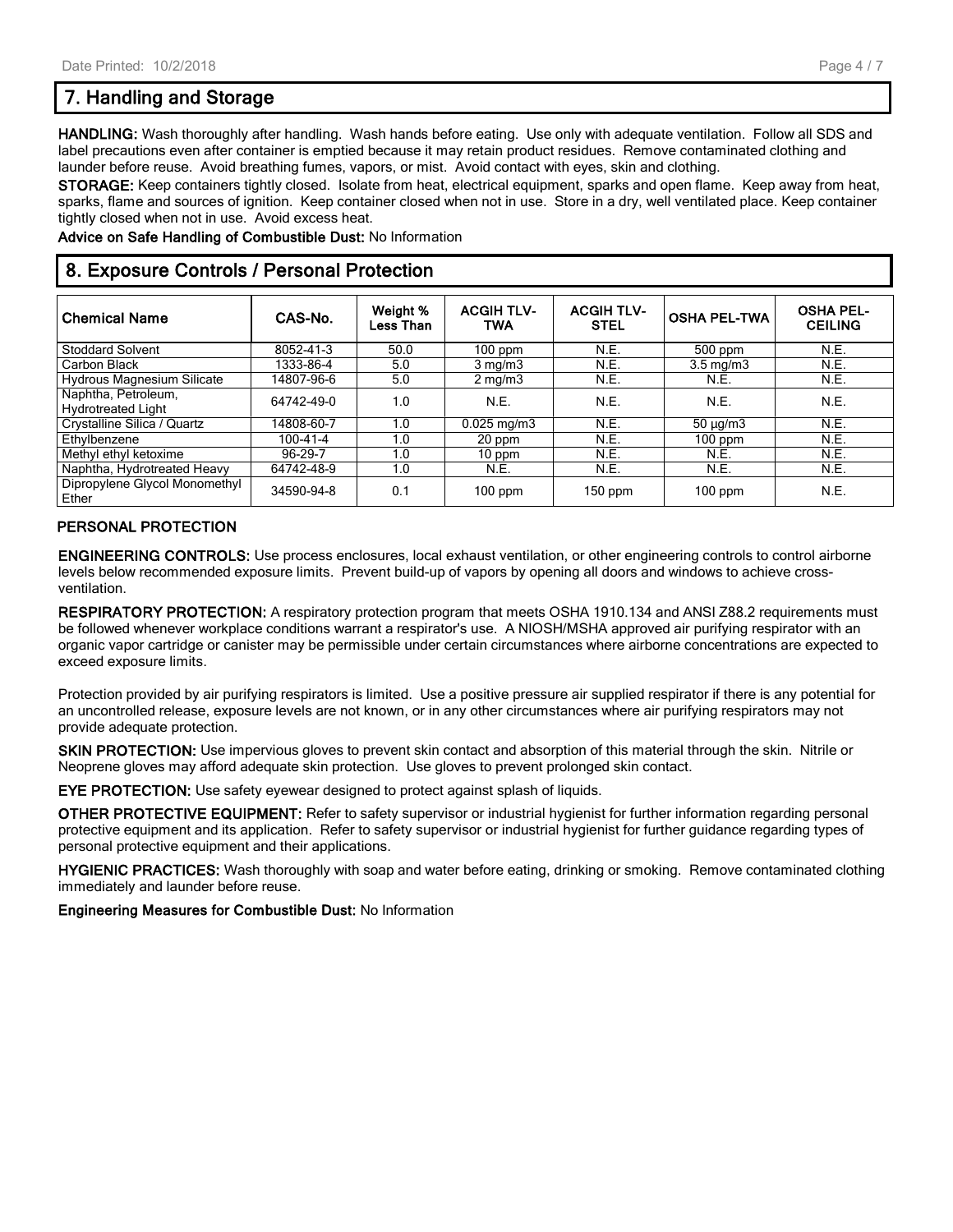# **7. Handling and Storage**

**HANDLING:** Wash thoroughly after handling. Wash hands before eating. Use only with adequate ventilation. Follow all SDS and label precautions even after container is emptied because it may retain product residues. Remove contaminated clothing and launder before reuse. Avoid breathing fumes, vapors, or mist. Avoid contact with eyes, skin and clothing.

**STORAGE:** Keep containers tightly closed. Isolate from heat, electrical equipment, sparks and open flame. Keep away from heat, sparks, flame and sources of ignition. Keep container closed when not in use. Store in a dry, well ventilated place. Keep container tightly closed when not in use. Avoid excess heat.

**Advice on Safe Handling of Combustible Dust:** No Information

## **8. Exposure Controls / Personal Protection**

| <b>Chemical Name</b>                             | CAS-No.    | Weight %<br>Less Than | <b>ACGIH TLV-</b><br>TWA | <b>ACGIH TLV-</b><br><b>STEL</b> | <b>OSHA PEL-TWA</b> | <b>OSHA PEL-</b><br><b>CEILING</b> |
|--------------------------------------------------|------------|-----------------------|--------------------------|----------------------------------|---------------------|------------------------------------|
| <b>Stoddard Solvent</b>                          | 8052-41-3  | 50.0                  | $100$ ppm                | N.E.                             | $500$ ppm           | N.E.                               |
| Carbon Black                                     | 1333-86-4  | 5.0                   | $3 \text{ mg/m}$         | N.E.                             | $3.5 \text{ mg/m}$  | N.E.                               |
| <b>Hydrous Magnesium Silicate</b>                | 14807-96-6 | 5.0                   | $2 \text{ mg/m}$         | N.E.                             | N.E.                | N.E.                               |
| Naphtha, Petroleum,<br><b>Hydrotreated Light</b> | 64742-49-0 | 1.0                   | N.E.                     | N.E.                             | N.E.                | N.E.                               |
| Crystalline Silica / Quartz                      | 14808-60-7 | 1.0                   | $0.025$ mg/m $3$         | N.E.                             | $50 \mu g/m3$       | N.E.                               |
| Ethylbenzene                                     | 100-41-4   | 1.0                   | 20 ppm                   | N.E.                             | $100$ ppm           | N.E.                               |
| Methyl ethyl ketoxime                            | 96-29-7    | 1.0                   | 10 ppm                   | N.E.                             | N.E.                | N.E.                               |
| Naphtha, Hydrotreated Heavy                      | 64742-48-9 | 1.0                   | N.E.                     | N.E.                             | N.E.                | N.E.                               |
| Dipropylene Glycol Monomethyl<br>Ether           | 34590-94-8 | 0.1                   | $100$ ppm                | 150 ppm                          | $100$ ppm           | N.E.                               |

#### **PERSONAL PROTECTION**

**ENGINEERING CONTROLS:** Use process enclosures, local exhaust ventilation, or other engineering controls to control airborne levels below recommended exposure limits. Prevent build-up of vapors by opening all doors and windows to achieve crossventilation.

**RESPIRATORY PROTECTION:** A respiratory protection program that meets OSHA 1910.134 and ANSI Z88.2 requirements must be followed whenever workplace conditions warrant a respirator's use. A NIOSH/MSHA approved air purifying respirator with an organic vapor cartridge or canister may be permissible under certain circumstances where airborne concentrations are expected to exceed exposure limits.

Protection provided by air purifying respirators is limited. Use a positive pressure air supplied respirator if there is any potential for an uncontrolled release, exposure levels are not known, or in any other circumstances where air purifying respirators may not provide adequate protection.

**SKIN PROTECTION:** Use impervious gloves to prevent skin contact and absorption of this material through the skin. Nitrile or Neoprene gloves may afford adequate skin protection. Use gloves to prevent prolonged skin contact.

**EYE PROTECTION:** Use safety eyewear designed to protect against splash of liquids.

**OTHER PROTECTIVE EQUIPMENT:** Refer to safety supervisor or industrial hygienist for further information regarding personal protective equipment and its application. Refer to safety supervisor or industrial hygienist for further guidance regarding types of personal protective equipment and their applications.

**HYGIENIC PRACTICES:** Wash thoroughly with soap and water before eating, drinking or smoking. Remove contaminated clothing immediately and launder before reuse.

**Engineering Measures for Combustible Dust:** No Information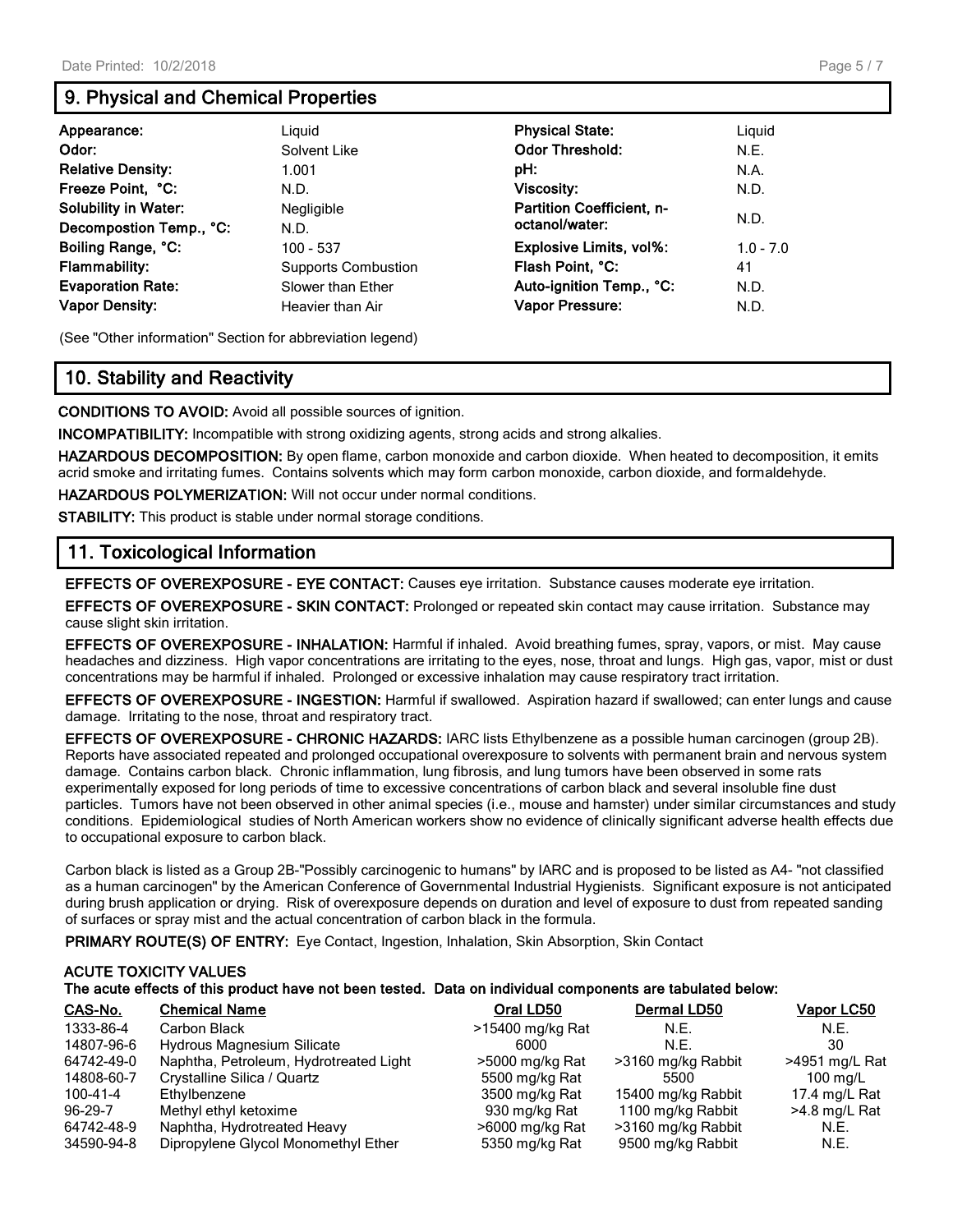# **9. Physical and Chemical Properties**

| Appearance:<br>Odor:<br><b>Relative Density:</b><br>Freeze Point, °C:<br><b>Solubility in Water:</b><br>Decompostion Temp., °C: | Liguid<br>Solvent Like<br>1.001<br>N.D.<br>Negligible<br>N.D. | <b>Physical State:</b><br><b>Odor Threshold:</b><br>pH:<br>Viscosity:<br><b>Partition Coefficient, n-</b><br>octanol/water: | Liguid<br>N.E.<br>N.A.<br>N.D.<br>N.D. |
|---------------------------------------------------------------------------------------------------------------------------------|---------------------------------------------------------------|-----------------------------------------------------------------------------------------------------------------------------|----------------------------------------|
| Boiling Range, °C:                                                                                                              | $100 - 537$                                                   | <b>Explosive Limits, vol%:</b>                                                                                              | $1.0 - 7.0$                            |
| <b>Flammability:</b>                                                                                                            | <b>Supports Combustion</b>                                    | Flash Point, °C:                                                                                                            | 41                                     |
| <b>Evaporation Rate:</b>                                                                                                        | Slower than Ether                                             | Auto-ignition Temp., °C:                                                                                                    | N.D.                                   |
| <b>Vapor Density:</b>                                                                                                           | Heavier than Air                                              | <b>Vapor Pressure:</b>                                                                                                      | N.D.                                   |

(See "Other information" Section for abbreviation legend)

# **10. Stability and Reactivity**

**CONDITIONS TO AVOID:** Avoid all possible sources of ignition.

**INCOMPATIBILITY:** Incompatible with strong oxidizing agents, strong acids and strong alkalies.

**HAZARDOUS DECOMPOSITION:** By open flame, carbon monoxide and carbon dioxide. When heated to decomposition, it emits acrid smoke and irritating fumes. Contains solvents which may form carbon monoxide, carbon dioxide, and formaldehyde.

**HAZARDOUS POLYMERIZATION:** Will not occur under normal conditions.

**STABILITY:** This product is stable under normal storage conditions.

## **11. Toxicological Information**

**EFFECTS OF OVEREXPOSURE - EYE CONTACT:** Causes eye irritation. Substance causes moderate eye irritation.

**EFFECTS OF OVEREXPOSURE - SKIN CONTACT:** Prolonged or repeated skin contact may cause irritation. Substance may cause slight skin irritation.

**EFFECTS OF OVEREXPOSURE - INHALATION:** Harmful if inhaled. Avoid breathing fumes, spray, vapors, or mist. May cause headaches and dizziness. High vapor concentrations are irritating to the eyes, nose, throat and lungs. High gas, vapor, mist or dust concentrations may be harmful if inhaled. Prolonged or excessive inhalation may cause respiratory tract irritation.

**EFFECTS OF OVEREXPOSURE - INGESTION:** Harmful if swallowed. Aspiration hazard if swallowed; can enter lungs and cause damage. Irritating to the nose, throat and respiratory tract.

**EFFECTS OF OVEREXPOSURE - CHRONIC HAZARDS:** IARC lists Ethylbenzene as a possible human carcinogen (group 2B). Reports have associated repeated and prolonged occupational overexposure to solvents with permanent brain and nervous system damage. Contains carbon black. Chronic inflammation, lung fibrosis, and lung tumors have been observed in some rats experimentally exposed for long periods of time to excessive concentrations of carbon black and several insoluble fine dust particles. Tumors have not been observed in other animal species (i.e., mouse and hamster) under similar circumstances and study conditions. Epidemiological studies of North American workers show no evidence of clinically significant adverse health effects due to occupational exposure to carbon black.

Carbon black is listed as a Group 2B-"Possibly carcinogenic to humans" by IARC and is proposed to be listed as A4- "not classified as a human carcinogen" by the American Conference of Governmental Industrial Hygienists. Significant exposure is not anticipated during brush application or drying. Risk of overexposure depends on duration and level of exposure to dust from repeated sanding of surfaces or spray mist and the actual concentration of carbon black in the formula.

PRIMARY ROUTE(S) OF ENTRY: Eye Contact, Ingestion, Inhalation, Skin Absorption, Skin Contact

## **ACUTE TOXICITY VALUES The acute effects of this product have not been tested. Data on individual components are tabulated below:**

| CAS-No.    | <b>Chemical Name</b>                   | Oral LD50        | Dermal LD50        | <u>Vapor LC50</u> |
|------------|----------------------------------------|------------------|--------------------|-------------------|
| 1333-86-4  | Carbon Black                           | >15400 mg/kg Rat | N.E.               | N.E.              |
| 14807-96-6 | Hydrous Magnesium Silicate             | 6000             | N.E.               | 30                |
| 64742-49-0 | Naphtha, Petroleum, Hydrotreated Light | >5000 mg/kg Rat  | >3160 mg/kg Rabbit | >4951 mg/L Rat    |
| 14808-60-7 | Crystalline Silica / Quartz            | 5500 mg/kg Rat   | 5500               | 100 mg/L          |
| 100-41-4   | Ethylbenzene                           | 3500 mg/kg Rat   | 15400 mg/kg Rabbit | 17.4 mg/L Rat     |
| 96-29-7    | Methyl ethyl ketoxime                  | 930 mg/kg Rat    | 1100 mg/kg Rabbit  | >4.8 mg/L Rat     |
| 64742-48-9 | Naphtha, Hydrotreated Heavy            | >6000 mg/kg Rat  | >3160 mg/kg Rabbit | N.E.              |
| 34590-94-8 | Dipropylene Glycol Monomethyl Ether    | 5350 mg/kg Rat   | 9500 mg/kg Rabbit  | N.E.              |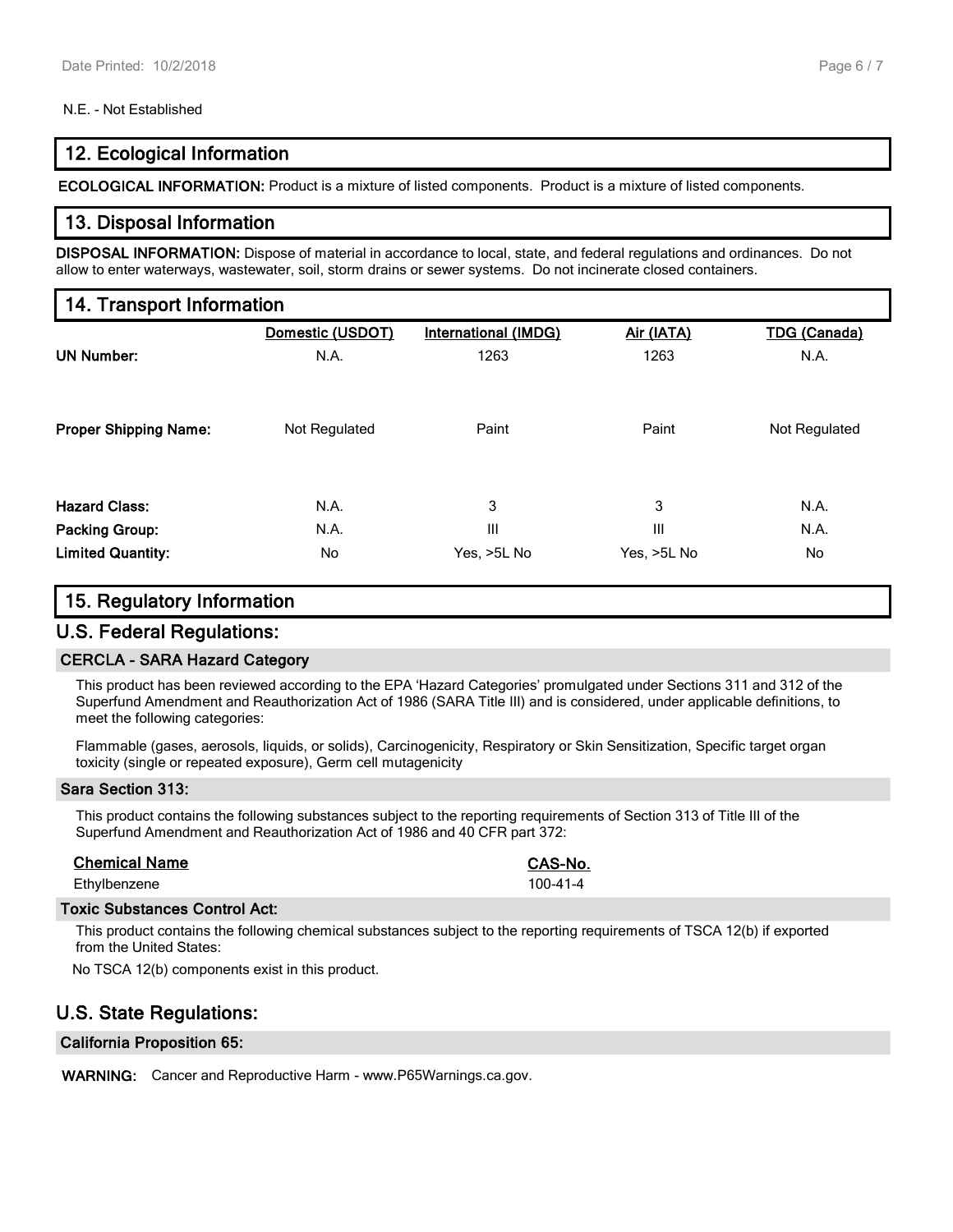## N.E. - Not Established

## **12. Ecological Information**

**ECOLOGICAL INFORMATION:** Product is a mixture of listed components. Product is a mixture of listed components.

## **13. Disposal Information**

**DISPOSAL INFORMATION:** Dispose of material in accordance to local, state, and federal regulations and ordinances. Do not allow to enter waterways, wastewater, soil, storm drains or sewer systems. Do not incinerate closed containers.

## **14. Transport Information**

|                              | Domestic (USDOT) | <b>International (IMDG)</b> | Air (IATA)  | <b>TDG (Canada)</b> |
|------------------------------|------------------|-----------------------------|-------------|---------------------|
| <b>UN Number:</b>            | N.A.             | 1263                        | 1263        | N.A.                |
|                              |                  |                             |             |                     |
|                              |                  |                             |             |                     |
| <b>Proper Shipping Name:</b> | Not Regulated    | Paint                       | Paint       | Not Regulated       |
|                              |                  |                             |             |                     |
| <b>Hazard Class:</b>         | N.A.             | 3                           | 3           | N.A.                |
| <b>Packing Group:</b>        | N.A.             | Ш                           | Ш           | N.A.                |
| <b>Limited Quantity:</b>     | No               | Yes, >5L No                 | Yes, >5L No | No                  |

## **15. Regulatory Information**

## **U.S. Federal Regulations:**

## **CERCLA - SARA Hazard Category**

This product has been reviewed according to the EPA 'Hazard Categories' promulgated under Sections 311 and 312 of the Superfund Amendment and Reauthorization Act of 1986 (SARA Title III) and is considered, under applicable definitions, to meet the following categories:

Flammable (gases, aerosols, liquids, or solids), Carcinogenicity, Respiratory or Skin Sensitization, Specific target organ toxicity (single or repeated exposure), Germ cell mutagenicity

## **Sara Section 313:**

This product contains the following substances subject to the reporting requirements of Section 313 of Title III of the Superfund Amendment and Reauthorization Act of 1986 and 40 CFR part 372:

| <b>Chemical Name</b> | CAS-No.        |
|----------------------|----------------|
| Ethylbenzene         | $100 - 41 - 4$ |

## **Toxic Substances Control Act:**

This product contains the following chemical substances subject to the reporting requirements of TSCA 12(b) if exported from the United States:

No TSCA 12(b) components exist in this product.

# **U.S. State Regulations:**

## **California Proposition 65:**

**WARNING:** Cancer and Reproductive Harm - www.P65Warnings.ca.gov.